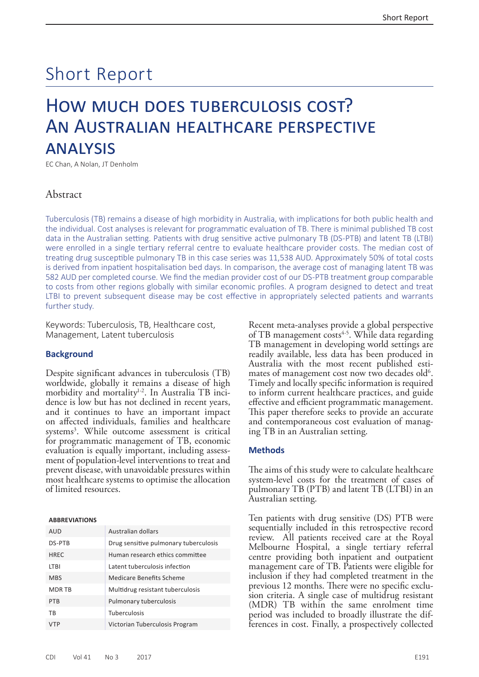# Short Report

## How much does tuberculosis cost? An Australian healthcare perspective **ANALYSIS**

EC Chan, A Nolan, JT Denholm

## Abstract

Tuberculosis (TB) remains a disease of high morbidity in Australia, with implications for both public health and the individual. Cost analyses is relevant for programmatic evaluation of TB. There is minimal published TB cost data in the Australian setting. Patients with drug sensitive active pulmonary TB (DS-PTB) and latent TB (LTBI) were enrolled in a single tertiary referral centre to evaluate healthcare provider costs. The median cost of treating drug susceptible pulmonary TB in this case series was 11,538 AUD. Approximately 50% of total costs is derived from inpatient hospitalisation bed days. In comparison, the average cost of managing latent TB was 582 AUD per completed course. We find the median provider cost of our DS-PTB treatment group comparable to costs from other regions globally with similar economic profiles. A program designed to detect and treat LTBI to prevent subsequent disease may be cost effective in appropriately selected patients and warrants further study.

Keywords: Tuberculosis, TB, Healthcare cost, Management, Latent tuberculosis

### **Background**

Despite significant advances in tuberculosis (TB) worldwide, globally it remains a disease of high morbidity and mortality<sup>1-2</sup>. In Australia TB inci-<br>dence is low but has not declined in recent years, and it continues to have an important impact on affected individuals, families and healthcare systems<sup>3</sup>. While outcome assessment is critical for programmatic management of TB, economic evaluation is equally important, including assess- ment of population-level interventions to treat and prevent disease, with unavoidable pressures within most healthcare systems to optimise the allocation of limited resources.

#### **ABBREVIATIONS**

| AUD           | Australian dollars                    |
|---------------|---------------------------------------|
| DS-PTB        | Drug sensitive pulmonary tuberculosis |
| <b>HREC</b>   | Human research ethics committee       |
| <b>LTBI</b>   | Latent tuberculosis infection         |
| <b>MBS</b>    | Medicare Benefits Scheme              |
| <b>MDR TB</b> | Multidrug resistant tuberculosis      |
| <b>PTB</b>    | Pulmonary tuberculosis                |
| <b>TR</b>     | Tuberculosis                          |
| <b>VTP</b>    | Victorian Tuberculosis Program        |

Recent meta-analyses provide a global perspective of TB management costs<sup>4-5</sup>. While data regarding TB management in developing world settings are readily available, less data has been produced in Australia with the most recent published estimates of management cost now two decades old<sup>6</sup>.<br>Timely and locally specific information is required to inform current healthcare practices, and guide effective and efficient programmatic management. This paper therefore seeks to provide an accurate and contemporaneous cost evaluation of manag- ing TB in an Australian setting.

## **Methods**

The aims of this study were to calculate healthcare system-level costs for the treatment of cases of pulmonary TB (PTB) and latent TB (LTBI) in an Australian setting.

Ten patients with drug sensitive (DS) PTB were sequentially included in this retrospective record review. All patients received care at the Royal Melbourne Hospital, a single tertiary referral centre providing both inpatient and outpatient management care of TB. Patients were eligible for inclusion if they had completed treatment in the previous 12 months. There were no specific exclusion criteria. A single case of multidrug resistant (MDR) TB within the same enrolment time period was included to broadly illustrate the differences in cost. Finally, a prospectively collected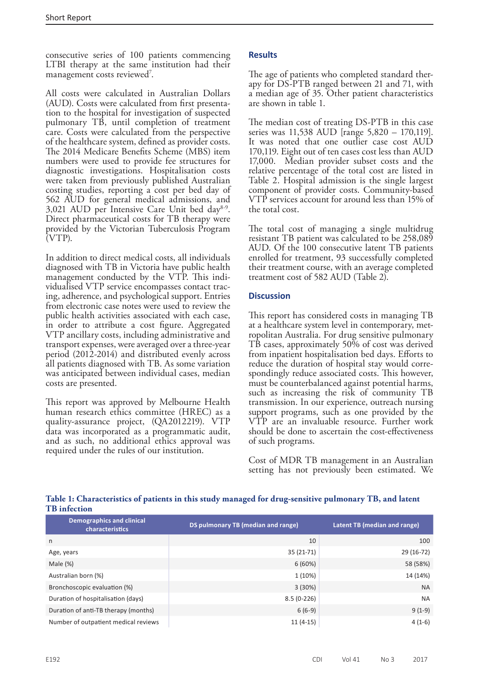consecutive series of 100 patients commencing LTBI therapy at the same institution had their management costs reviewed<sup>7</sup>.

All costs were calculated in Australian Dollars (AUD). Costs were calculated from first presentation to the hospital for investigation of suspected pulmonary TB, until completion of treatment care. Costs were calculated from the perspective of the healthcare system, defined as provider costs. The 2014 Medicare Benefits Scheme (MBS) item numbers were used to provide fee structures for diagnostic investigations. Hospitalisation costs were taken from previously published Australian costing studies, reporting a cost per bed day of 562 AUD for general medical admissions, and 3,021 AUD per Intensive Care Unit bed day8-9. Direct pharmaceutical costs for TB therapy were provided by the Victorian Tuberculosis Program (VTP).

In addition to direct medical costs, all individuals diagnosed with TB in Victoria have public health management conducted by the VTP. This individualised VTP service encompasses contact tracing, adherence, and psychological support. Entries from electronic case notes were used to review the public health activities associated with each case, in order to attribute a cost figure. Aggregated VTP ancillary costs, including administrative and transport expenses, were averaged over a three-year period (2012-2014) and distributed evenly across all patients diagnosed with TB. As some variation was anticipated between individual cases, median costs are presented.

This report was approved by Melbourne Health human research ethics committee (HREC) as a quality-assurance project, (QA2012219). VTP data was incorporated as a programmatic audit, and as such, no additional ethics approval was required under the rules of our institution.

## **Results**

The age of patients who completed standard therapy for DS-PTB ranged between 21 and 71, with a median age of 35. Other patient characteristics are shown in table 1.

The median cost of treating DS-PTB in this case series was 11,538 AUD [range 5,820 – 170,119]. It was noted that one outlier case cost AUD 170,119. Eight out of ten cases cost less than AUD 17,000. Median provider subset costs and the relative percentage of the total cost are listed in Table 2. Hospital admission is the single largest component of provider costs. Community-based VTP services account for around less than 15% of the total cost.

The total cost of managing a single multidrug resistant TB patient was calculated to be 258,089 AUD. Of the 100 consecutive latent TB patients enrolled for treatment, 93 successfully completed their treatment course, with an average completed treatment cost of 582 AUD (Table 2).

## **Discussion**

This report has considered costs in managing TB at a healthcare system level in contemporary, metropolitan Australia. For drug sensitive pulmonary TB cases, approximately 50% of cost was derived from inpatient hospitalisation bed days. Efforts to reduce the duration of hospital stay would correspondingly reduce associated costs. This however, must be counterbalanced against potential harms, such as increasing the risk of community TB transmission. In our experience, outreach nursing support programs, such as one provided by the VTP are an invaluable resource. Further work should be done to ascertain the cost-effectiveness of such programs.

Cost of MDR TB management in an Australian setting has not previously been estimated. We

**Table 1: Characteristics of patients in this study managed for drug-sensitive pulmonary TB, and latent TB infection**

| <b>Demographics and clinical</b><br>characteristics | DS pulmonary TB (median and range) | Latent TB (median and range) |  |  |
|-----------------------------------------------------|------------------------------------|------------------------------|--|--|
| n                                                   | 10                                 | 100                          |  |  |
| Age, years                                          | $35(21-71)$                        | 29 (16-72)                   |  |  |
| Male $(\%)$                                         | 6(60%)                             | 58 (58%)                     |  |  |
| Australian born (%)                                 | 1 (10%)                            | 14 (14%)                     |  |  |
| Bronchoscopic evaluation (%)                        | 3(30%)                             | <b>NA</b>                    |  |  |
| Duration of hospitalisation (days)                  | $8.5(0-226)$                       | <b>NA</b>                    |  |  |
| Duration of anti-TB therapy (months)                | $6(6-9)$                           | $9(1-9)$                     |  |  |
| Number of outpatient medical reviews                | $11(4-15)$                         | $4(1-6)$                     |  |  |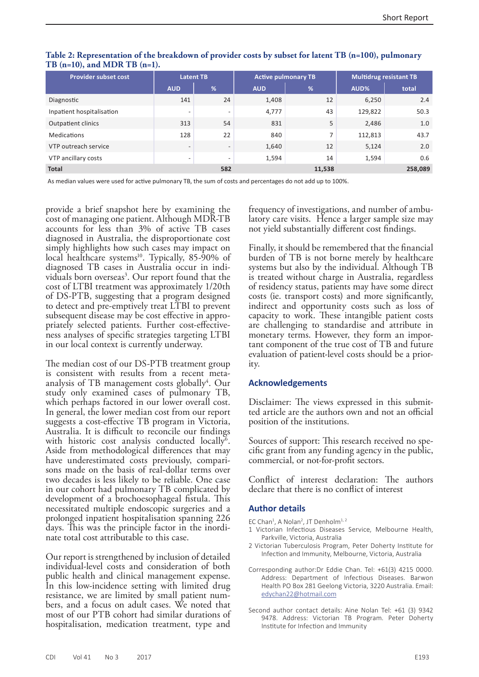| <b>Provider subset cost</b> | <b>Latent TB</b>         |                          | <b>Active pulmonary TB</b> |        | <b>Multidrug resistant TB</b> |         |
|-----------------------------|--------------------------|--------------------------|----------------------------|--------|-------------------------------|---------|
|                             | <b>AUD</b>               | %                        | <b>AUD</b>                 | %      | AUD%                          | total   |
| Diagnostic                  | 141                      | 24                       | 1,408                      | 12     | 6,250                         | 2.4     |
| Inpatient hospitalisation   | $\overline{\phantom{a}}$ | $\overline{\phantom{a}}$ | 4,777                      | 43     | 129,822                       | 50.3    |
| <b>Outpatient clinics</b>   | 313                      | 54                       | 831                        | 5      | 2,486                         | 1.0     |
| Medications                 | 128                      | 22                       | 840                        | 7      | 112,813                       | 43.7    |
| VTP outreach service        | $\overline{\phantom{0}}$ | $\overline{\phantom{a}}$ | 1,640                      | 12     | 5,124                         | 2.0     |
| VTP ancillary costs         | $\overline{\phantom{a}}$ | $\overline{\phantom{0}}$ | 1,594                      | 14     | 1,594                         | 0.6     |
| <b>Total</b>                |                          | 582                      |                            | 11,538 |                               | 258,089 |

## **Table 2: Representation of the breakdown of provider costs by subset for latent TB (n=100), pulmonary TB (n=10), and MDR TB (n=1).**

As median values were used for active pulmonary TB, the sum of costs and percentages do not add up to 100%.

provide a brief snapshot here by examining the cost of managing one patient. Although MDR-TB accounts for less than 3% of active TB cases diagnosed in Australia, the disproportionate cost simply highlights how such cases may impact on local healthcare systems<sup>10</sup>. Typically, 85-90% of diagnosed TB cases in Australia occur in individuals born overseas<sup>3</sup>. Our report found that the cost of LTBI treatment was approximately 1/20th of DS-PTB, suggesting that a program designed to detect and pre-emptively treat LTBI to prevent subsequent disease may be cost effective in appropriately selected patients. Further cost-effectiveness analyses of specific strategies targeting LTBI in our local context is currently underway.

The median cost of our DS-PTB treatment group is consistent with results from a recent metaanalysis of TB management costs globally<sup>4</sup>. Our study only examined cases of pulmonary TB, which perhaps factored in our lower overall cost. In general, the lower median cost from our report suggests a cost-effective TB program in Victoria, Australia. It is difficult to reconcile our findings with historic cost analysis conducted locally<sup>6</sup>. Aside from methodological differences that may have underestimated costs previously, compari- sons made on the basis of real-dollar terms over two decades is less likely to be reliable. One case in our cohort had pulmonary TB complicated by development of a brochoesophageal fistula. This necessitated multiple endoscopic surgeries and a prolonged inpatient hospitalisation spanning 226 days. This was the principle factor in the inordi- nate total cost attributable to this case.

Our report is strengthened by inclusion of detailed individual-level costs and consideration of both public health and clinical management expense. In this low-incidence setting with limited drug resistance, we are limited by small patient num- bers, and a focus on adult cases. We noted that most of our PTB cohort had similar durations of hospitalisation, medication treatment, type and

frequency of investigations, and number of ambulatory care visits. Hence a larger sample size may not yield substantially different cost findings.

Finally, it should be remembered that the financial burden of TB is not borne merely by healthcare systems but also by the individual. Although TB is treated without charge in Australia, regardless of residency status, patients may have some direct costs (ie. transport costs) and more significantly, indirect and opportunity costs such as loss of capacity to work. These intangible patient costs are challenging to standardise and attribute in monetary terms. However, they form an important component of the true cost of TB and future evaluation of patient-level costs should be a priority.

### **Acknowledgements**

Disclaimer: The views expressed in this submit- ted article are the authors own and not an official position of the institutions.

Sources of support: This research received no specific grant from any funding agency in the public, commercial, or not-for-profit sectors.

Conflict of interest declaration: The authors declare that there is no conflict of interest

## **Author details**

- EC Chan<sup>1</sup>, A Nolan<sup>2</sup>, JT Denholm<sup>1, 2</sup>
- 1 Victorian Infectious Diseases Service, Melbourne Health, Parkville, Victoria, Australia
- 2 Victorian Tuberculosis Program, Peter Doherty Institute for Infection and Immunity, Melbourne, Victoria, Australia
- Corresponding author:Dr Eddie Chan. Tel: +61(3) 4215 0000. Address: Department of Infectious Diseases. Barwon Health PO Box 281 Geelong Victoria, 3220 Australia. Email: [edychan22@hotmail.com](mailto:edychan22%40hotmail.com?subject=)
- Second author contact details: Aine Nolan Tel: +61 (3) 9342 9478. Address: Victorian TB Program. Peter Doherty Institute for Infection and Immunity